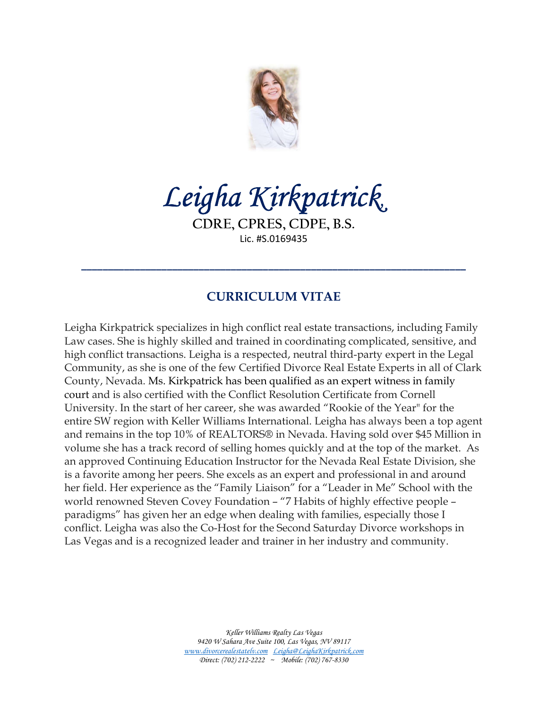

Leigha Kirkpatrick,

CDRE, CPRES, CDPE, B.S. Lic. #S.0169435

\_\_\_\_\_\_\_\_\_\_\_\_\_\_\_\_\_\_\_\_\_\_\_\_\_\_\_\_\_\_\_\_\_\_\_\_\_\_\_\_\_\_\_\_\_\_\_\_\_\_\_\_\_\_\_\_\_\_\_\_\_\_\_\_\_\_\_\_\_\_\_\_

# CURRICULUM VITAE

Leigha Kirkpatrick specializes in high conflict real estate transactions, including Family Law cases. She is highly skilled and trained in coordinating complicated, sensitive, and high conflict transactions. Leigha is a respected, neutral third-party expert in the Legal Community, as she is one of the few Certified Divorce Real Estate Experts in all of Clark County, Nevada. Ms. Kirkpatrick has been qualified as an expert witness in family court and is also certified with the Conflict Resolution Certificate from Cornell University. In the start of her career, she was awarded "Rookie of the Year" for the entire SW region with Keller Williams International. Leigha has always been a top agent and remains in the top 10% of REALTORS® in Nevada. Having sold over \$45 Million in volume she has a track record of selling homes quickly and at the top of the market. As an approved Continuing Education Instructor for the Nevada Real Estate Division, she is a favorite among her peers. She excels as an expert and professional in and around her field. Her experience as the "Family Liaison" for a "Leader in Me" School with the world renowned Steven Covey Foundation – "7 Habits of highly effective people – paradigms" has given her an edge when dealing with families, especially those I conflict. Leigha was also the Co-Host for the Second Saturday Divorce workshops in Las Vegas and is a recognized leader and trainer in her industry and community.

> Keller Williams Realty Las Vegas 9420 W Sahara Ave Suite 100, Las Vegas, NV 89117 www.divorcerealestatelv.com Leigha@LeighaKirkpatrick.com Direct: (702) 212-2222 ~ Mobile: (702) 767-8330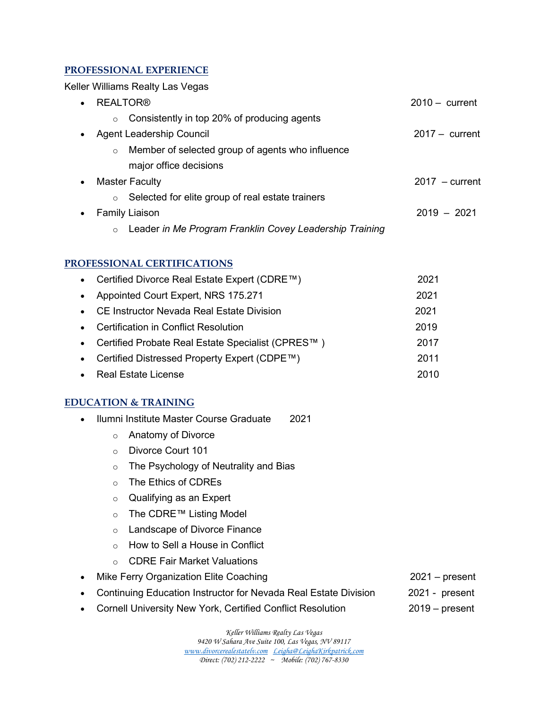#### PROFESSIONAL EXPERIENCE

Keller Williams Realty Las Vegas

| $\bullet$ | <b>REALTOR®</b>                                                    | $2010 -$ current |
|-----------|--------------------------------------------------------------------|------------------|
|           | Consistently in top 20% of producing agents<br>$\circ$             |                  |
| $\bullet$ | <b>Agent Leadership Council</b>                                    | $2017 - current$ |
|           | Member of selected group of agents who influence<br>$\circ$        |                  |
|           | major office decisions                                             |                  |
| $\bullet$ | <b>Master Faculty</b>                                              | $2017 - current$ |
|           | Selected for elite group of real estate trainers<br>$\circ$        |                  |
|           | <b>Family Liaison</b>                                              | $2019 - 2021$    |
|           | Leader in Me Program Franklin Covey Leadership Training<br>$\circ$ |                  |

#### PROFESSIONAL CERTIFICATIONS

|           | • Certified Divorce Real Estate Expert (CDRE $\text{TM}$ ) | 2021 |
|-----------|------------------------------------------------------------|------|
| $\bullet$ | Appointed Court Expert, NRS 175.271                        | 2021 |
| $\bullet$ | CE Instructor Nevada Real Estate Division                  | 2021 |
| $\bullet$ | Certification in Conflict Resolution                       | 2019 |
| $\bullet$ | Certified Probate Real Estate Specialist (CPRES™)          | 2017 |
| $\bullet$ | Certified Distressed Property Expert (CDPE™)               | 2011 |
|           | Real Estate License                                        | 2010 |

#### EDUCATION & TRAINING

- Ilumni Institute Master Course Graduate 2021
	- o Anatomy of Divorce
	- o Divorce Court 101
	- o The Psychology of Neutrality and Bias
	- o The Ethics of CDREs
	- o Qualifying as an Expert
	- o The CDRE™ Listing Model
	- o Landscape of Divorce Finance
	- o How to Sell a House in Conflict
	- o CDRE Fair Market Valuations
- Mike Ferry Organization Elite Coaching 2021 present
- Continuing Education Instructor for Nevada Real Estate Division 2021 present
- Cornell University New York, Certified Conflict Resolution 2019 present